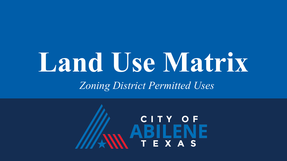# **Land Use Matrix** *Zoning District Permitted Uses*

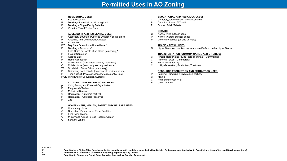# **Permitted Uses in AO Zoning**

## **RESIDENTIAL USES:**

- C Bed & Breakfast
- P Dwelling– Industrialized Housing Unit
- P Dwelling Single-Family Detached<br>C. Vacation Travel Trailer Park
- Vacation Travel Trailer Park

# **ACCESSORY AND INCIDENTAL USES:**

- P Accessory Structure (Also see Division 4 of this article)<br>P Antenna. Non-Commercial/Amateur
- P Antenna, Non-Commercial/Amateur<br>P Animal I of
- Animal Lot
- P/C Day Care Operation Home-Based\*
- P Dwelling Accessory\*
- TP Field Office or Construction Office (temporary)\*
- P Freight Container\*<br>P Garage Sale
- P Garage Sale<br>P Home Occup
- Home Occupation
- C Mobile Home (permanent security residence)
- C Mobile Home (temporary security residence)
- TP Subdivision Sales Office (temporary)
- P Swimming Pool, Private (accessory to residential use)<br>P Tennis Court Private (accessory to residential use)
- Tennis Court, Private (accessory to residential use)
- P/SE Wind Energy Conversion Systems\*

# **CULTURAL AND RECREATIONAL USES:**

- p Civic, Social, and Fraternal Organization
- P Fairgrounds/Rodeo
- C Motorized Racing
- C Recreation Outdoors (active)
- P Recreation Outdoors (passive)<br>P Zoo
- P Zoo

# **GOVERNMENT, HEALTH, SAFETY AND WELFARE USES:**

- P Community Home
- C Correction, Detention, or Penal Facilities<br>P Fire/Police Station
- P Fire/Police Station<br>C Military and Armed
- Military and Armed Forces Reserve Center

## C Sanitary Landfill

# **EDUCATIONAL AND RELIGIOUS USES:**

- C Cemetery, Crematorium, and Mausoleum
- P Church or Place of Worship
- P School: Public/Private

# **SERVICE**

- C Kennel (with outdoor pens)
- P Kennel (without outdoor pens)<br>P Veterinary Service (all size anii
- Veterinary Service (all size animals)

# **TRADE – RETAIL USES**

C Liquor Store (on premises consumption) (Defined under Liquor Store)

# **TRANSPORTATION, COMMUNICATION AND UTILITIES:**

- C Airport, Heliport and Flying Field Terminals Commercial
- C Antenna Tower Commercial
- P Public Utility Facility<br>C Utility Generation. P
- Utility Generation, Production, Treatment

# **RESOURCE PRODUCTION AND EXTRACTION USES:**

- P Farming, Ranching & Livestock, Hatchery
- C Mining
- C Petroleum or Gas Well<br>P Urban Garden
- Urban Garden

**LEGEND**

P Permitted as a Right-of-Use (may be subject to compliance with conditions described within Division 3- Requirements Applicable to Specific Land Uses of the Land Development Code)<br>C Permitted as a Conditional Use Permit. **C Permitted as a Conditional Use Permit, Requiring Approval by City Council**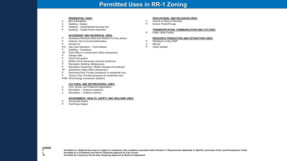# **Permitted Uses in RR-1 Zoning**

# **RESIDENTIAL USES:**

- C Bed & Breakfast
- C Dwelling Duplex
- P Dwelling Industrialized Housing Unit<br>P Dwelling Single-Family Detached
- Dwelling Single-Family Detached

#### **ACCESSORY AND INCIDENTAL USES:**

- P Accessory Structure (Also see Division 4 of this article)
- P Antenna, Non-Commercial/Amateur<br>P Animal Lot
- Animal Lot
- P/C Day Care Operation Home-Based
- P Dwelling Accessory
- TP Field Office or Construction Office (temporary)
- P Garage Sale<br>P Home Occup
- Home Occupation
- C Mobile Home (temporary security residence)
- P Recreation Building, Multipurpose<br>P Recreation Equipment. Mobile (std
- Recreation Equipment, Mobile (storage and parking)\*
- TP Subdivision Sales Office (temporary)
- P Swimming Pool, Private (accessory to residential use)
- P Tennis Court, Private (accessory to residential use)
- P/SE Wind Energy Conversion Systems

## **CULTURAL AND RECREATIONAL USES:**

- C Civic, Social, and Fraternal Organization
- P Recreation Outdoors (passive)
- C Recreation Outdoors (active)

## **GOVERNMENT, HEALTH, SAFETY AND WELFARE USES:**

- P Community Home<br>P Fire/Police Station
- **Fire/Police Station**

## **EDUCATIONAL AND RELIGIOUS USES:**

- P Church or Place of Worship<br>P School: Public/Private
- School: Public/Private

## **TRANSPORTATION, COMMUNICATION AND UTILITIES:**

P Public Utility Facility

#### **RESOURCE PRODUCTION AND EXTRACTION USES:**

- P Petroleum or Gas Well\*<br>C Mining\*
- Mining\*
- P Urban Garden

**LEGEND**

P Permitted as a Right-of-Use (may be subject to compliance with conditions described within Division 3- Requirements Applicable to Specific Land Uses of the Land Development Code)<br>C Permitted as a Conditional Use Permit.

**C Permitted as a Conditional Use Permit, Requiring Approval by City Council**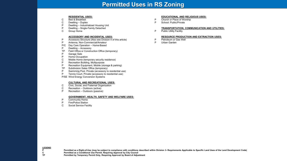# **Permitted Uses in RS Zoning**

## **RESIDENTIAL USES:**

- C Bed & Breakfast
- C Dwelling Duplex
- P Dwelling Industrialized Housing Unit<br>P Dwelling Single-Family Detached
- P Dwelling Single-Family Detached<br>C Group Home
- **Group Home**

#### **ACCESSORY AND INCIDENTAL USES:**

- P Accessory Structure (Also see Division 4 of this article)<br>P Antenna Non-Commercial/Amateur
- Antenna, Non-Commercial/Amateur
- P/C Day Care Operation Home-Based
- P Dwelling Accessory
- TP Field Office or Construction Office (temporary)
- P Garage Sale<br>P Home Occup
- Home Occupation
- C Mobile Home (temporary security residence)
- P Recreation Building, Multipurpose
- P Recreation Equipment, Mobile (storage & parking)
- TP Subdivision Sales Office (temporary)
- Swimming Pool, Private (accessory to residential use)
- P Tennis Court, Private (accessory to residential use)
- P/SE Wind Energy Conversion Systems

#### **CULTURAL AND RECREATIONAL USES:**

- C Civic, Social, and Fraternal Organization
- C Recreation Outdoors (active)
- P Recreation Outdoors (passive)

#### **GOVERNMENT, HEALTH, SAFETY AND WELFARE USES:**

- P Community Home
- P Fire/Police Station
- C Social Service Facility

#### **EDUCATIONAL AND RELIGIOUS USES:**

- P Church or Place of Worship
- P School: Public/Private

#### **TRANSPORTATION, COMMUNICATION AND UTILITIES:**

P Public Utility Facility

#### **RESOURCE PRODUCTION AND EXTRACTION USES:**

- P Petroleum or Gas Well<br>P Urban Garden
- Urban Garden

**LEGEND**

P Permitted as a Right-of-Use (may be subject to compliance with conditions described within Division 3- Requirements Applicable to Specific Land Uses of the Land Development Code)<br>C Permitted as a Conditional Use Permit. **C Permitted as a Conditional Use Permit, Requiring Approval by City Council**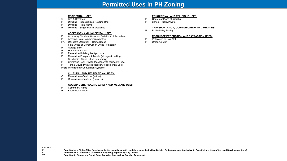# **Permitted Uses in PH Zoning**

# **RESIDENTIAL USES:**

- C Bed & Breakfast
- P Dwelling Industrialized Housing Unit
- P Dwelling Patio Home<br>P Dwelling Single-Fami
- Dwelling Single-Family Detached

#### **ACCESSORY AND INCIDENTAL USES:**

- P Accessory Structure (Also see Division 4 of this article)
- Antenna, Non-Commercial/Amateur
- P/C Day Care Operation Home-Based
- TP Field Office or Construction Office (temporary)
- P Garage Sale<br>P Home Occupa
- P Home Occupation<br>P Recreation Building
- P Recreation Building, Multipurpose<br>P Recreation Equipment, Mobile (std
- Recreation Equipment, Mobile (storage & parking)
- TP Subdivision Sales Office (temporary)
- P Swimming Pool, Private (accessory to residential use)
- P Tennis Court, Private (accessory to residential use)
- P/SE Wind Energy Conversion Systems

## **CULTURAL AND RECREATIONAL USES:**

- C Recreation Outdoors (active)
- P Recreation Outdoors (passive)

## **GOVERNMENT, HEALTH, SAFETY AND WELFARE USES:**

- P Community Home<br>P Fire/Police Station
- **Fire/Police Station**

# **EDUCATIONAL AND RELIGIOUS USES:**

- P Church or Place of Worship
- P School: Public/Private

# **TRANSPORTATION, COMMUNICATION AND UTILITIES:**

P Public Utility Facility

# **RESOURCE PRODUCTION AND EXTRACTION USES:**

- P Petroleum or Gas Well<br>P Urban Garden
- Urban Garden

**P** Permitted as a Right-of-Use (may be subject to compliance with conditions described within Division 3- Requirements Applicable to Specific Land Uses of the Land Development Code)<br>C Permitted as a Conditional Use Permit

**C Permitted as a Conditional Use Permit, Requiring Approval by City Council**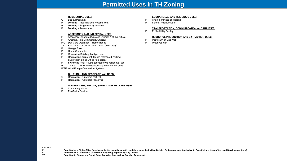# **Permitted Uses in TH Zoning**

# **RESIDENTIAL USES:**

- $C$  Bed & Breakfast<br>P Dwelling Indust
- Dwelling Industrialized Housing Unit
- P Dwelling Single-Family Detached<br>P Dwelling Townhome
- Dwelling Townhome

## **ACCESSORY AND INCIDENTAL USES:**

- P Accessory Structure (Also see Division 4 of this article)
- P Antenna, Non-Commercial/Amateur
- P/C Day Care Operation Home-Based
- TP Field Office or Construction Office (temporary)
- P Garage Sale<br>P Home Occup
- Home Occupation
- P Recreation Building, Multipurpose
- P Recreation Equipment, Mobile (storage & parking)
- TP Subdivision Sales Office (temporary)<br>
P Swimming Pool. Private (accessory to
- P Swimming Pool, Private (accessory to residential use)<br>P Tennis Court, Private (accessory to residential use)
- Tennis Court, Private (accessory to residential use)
- P/SE Wind Energy Conversion Systems

## **CULTURAL AND RECREATIONAL USES:**

- C Recreation Outdoors (active)<br>P Recreation Outdoors (passive
- Recreation Outdoors (passive)

# **GOVERNMENT, HEALTH, SAFETY AND WELFARE USES:**

- P Community Home<br>P Fire/Police Station
- Fire/Police Station

# **EDUCATIONAL AND RELIGIOUS USES:**

- P Church or Place of Worship<br>P School: Public/Private
- School: Public/Private

## **TRANSPORTATION, COMMUNICATION AND UTILITIES:**

P Public Utility Facility

#### **RESOURCE PRODUCTION AND EXTRACTION USES:**

- P Petroleum or Gas Well<br>P Urban Garden
- Urban Garden

P Permitted as a Right-of-Use (may be subject to compliance with conditions described within Division 3- Requirements Applicable to Specific Land Uses of the Land Development Code)<br>C Permitted as a Conditional Use Permit.

**C Permitted as a Conditional Use Permit, Requiring Approval by City Council**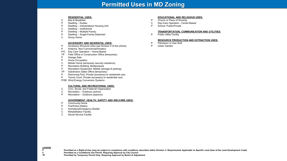# **Permitted Uses in MD Zoning**

# **RESIDENTIAL USES:**

- C Bed & Breakfast<br>P Dwelling Duple:
- P Dwelling Duplex<br>P Dwelling Industria
- P Dwelling Industrialized Housing Unit
- C Dwelling Institutional<br>P Dwelling Multiple-Far
- P Dwelling Multiple-Family<br>P Dwelling Single-Family D
- Dwelling Single-Family Detached
- C Group Home

# **ACCESSORY AND INCIDENTAL USES:**

- P Accessory Structure (Also see Division 4 of this article)
- P Antenna, Non-Commercial/Amateur
- P/C Day Care Operation Home-Based
- TP Field Office or Construction Office (temporary)
- Garage Sale
- P Home Occupation
- C Mobile Home (temporary security residence)
- P Recreation Building, Multipurpose<br>P Recreation Fournment Mobile (sto
- P Recreation Equipment, Mobile (storage & parking)<br>
TP Subdivision Sales Office (temporary)
- Subdivision Sales Office (temporary)
- P Swimming Pool, Private (accessory to residential use)
- P Tennis Court, Private (accessory to residential use)
- P/SE Wind Energy Conversion Systems

# **CULTURAL AND RECREATIONAL USES:**

- C Civic, Social, and Fraternal Organization
- C Recreation Outdoors (active)
- P Recreation Outdoors (passive)

# **GOVERNMENT, HEALTH, SAFETY AND WELFARE USES:**

- P Community Home
- P Fire/Police Station<br>C Homeless/Emerger
- C Homeless/Emergency Shelter<br>C Rehabilitation Facility
- C Rehabilitation Facility<br>C Social Service Facility
- Social Service Facility

# **EDUCATIONAL AND RELIGIOUS USES:**

- P Church or Place of Worship<br>C Dav-Care Operation Cente
- C Day-Care Operation Center-Based<br>P School: Public/Private
- School: Public/Private

# **TRANSPORTATION, COMMUNICATION AND UTILITIES:**

P Public Utility Facility

# **RESOURCE PRODUCTION AND EXTRACTION USES:**

- P Petroleum or Gas Well<br>P Urban Garden
- Urban Garden

**LEGEND**

P Permitted as a Right-of-Use (may be subject to compliance with conditions described within Division 3- Requirements Applicable to Specific Land Uses of the Land Development Code)<br>C Permitted as a Conditional Use Permit. **C Permitted as a Conditional Use Permit, Requiring Approval by City Council**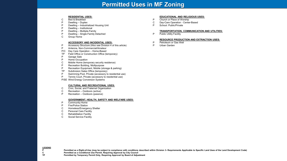# **Permitted Uses in MF Zoning**

## **RESIDENTIAL USES:**

- C Bed & Breakfast
- P Dwelling Duplex
- P Dwelling Industrialized Housing Unit<br>P Dwelling Institutional
- P Dwelling Institutional<br>P Dwelling Multiple-Fan
- Dwelling Multiple-Family
- P Dwelling Single-Family Detached
- C Group Home

## **ACCESSORY AND INCIDENTAL USES:**

- P Accessory Structure (Also see Division 4 of this article)
- P Antenna, Non-Commercial/Amateur
- P/C Day Care Operation Home-Based
- TP Field Office or Construction Office (temporary)
- Garage Sale
- P Home Occupation
- C Mobile Home (temporary security residence)
- P Recreation Building, Multipurpose
- P Recreation Equipment, Mobile (storage & parking)<br>
TP Subdivision Sales Office (temporary)
- Subdivision Sales Office (temporary)
- P Swimming Pool, Private (accessory to residential use)
- P Tennis Court, Private (accessory to residential use)
- P/SE Wind Energy Conversion Systems

# **CULTURAL AND RECREATIONAL USES:**

- C Civic, Social, and Fraternal Organization
- C Recreation Outdoors (active)
- P Recreation Outdoors (passive)

# **GOVERNMENT, HEALTH, SAFETY AND WELFARE USES:**

- P Community Home
- P Fire/Police Station
- C Homeless/Emergency Shelter
- C Personal Care Facility<br>C Rehabilitation Facility
- C Rehabilitation Facility<br>C Social Service Facility
- Social Service Facility

#### **EDUCATIONAL AND RELIGIOUS USES:**

- P Church or Place of Worship
- C Day-Care Operation Center-Based
- P School: Public/Private

# **TRANSPORTATION, COMMUNICATION AND UTILITIES:**

P Public Utility Facility

## **RESOURCE PRODUCTION AND EXTRACTION USES:**

- P Petroleum or Gas Well
- P Urban Garden

**LEGEND**

P Permitted as a Right-of-Use (may be subject to compliance with conditions described within Division 3- Requirements Applicable to Specific Land Uses of the Land Development Code)<br>C Permitted as a Conditional Use Permit. **C Permitted as a Conditional Use Permit, Requiring Approval by City Council**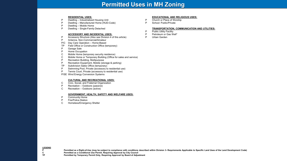# **Permitted Uses in MH Zoning**

#### **RESIDENTIAL USES:**

- P Dwelling Industrialized Housing Unit
- P Dwelling Manufactured Home (HUD-Code)
- Dwelling Mobile Home
- P Dwelling Single-Family Detached

#### **ACCESSORY AND INCIDENTAL USES:**

- P Accessory Structure (Also see Division 4 of this article)
- P Antenna, Non-Commercial/Amateur
- P/C Day Care Operation Home-Based
- TP Field Office or Construction Office (temporary)<br>P Garage Sale
- Garage Sale
- P Home Occupation
- C Mobile Home (temporary security residence)<br>C Mobile Home or Temporary Building (Office f
- Mobile Home or Temporary Building (Office for sales and service)
- P Recreation Building, Multipurpose<br>P Recreation Equipment, Mobile (std
- Recreation Equipment, Mobile (storage & parking)
- TP Subdivision Sales Office (temporary)
- P Swimming Pool, Private (accessory to residential use)
- P Tennis Court, Private (accessory to residential use)
- P/SE Wind Energy Conversion Systems

#### **CULTURAL AND RECREATIONAL USES:**

- C Civic, Social, and Fraternal Organization
- P Recreation Outdoors (passive)
- C Recreation Outdoors (active)

## **GOVERNMENT, HEALTH, SAFETY AND WELFARE USES:**

- P Community Home<br>P Fire/Police Station
- P Fire/Police Station<br>C Homeless/Emerge
- Homeless/Emergency Shelter

## **EDUCATIONAL AND RELIGIOUS USES:**

- P Church or Place of Worship
- P School: Public/Private

## **TRANSPORTATION, COMMUNICATION AND UTILITIES:**

- P Public Utility Facility<br>P Petroleum or Gas W
- P Petroleum or Gas Well\*<br>P Urban Garden
- Urban Garden

**LEGEND**

**P** Permitted as a Right-of-Use (may be subject to compliance with conditions described within Division 3- Requirements Applicable to Specific Land Uses of the Land Development Code)<br>C Permitted as a Conditional Use Permit

**C Permitted as a Conditional Use Permit, Requiring Approval by City Council**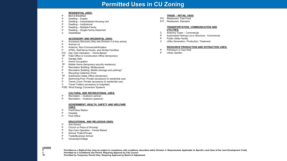# **Permitted Uses in CU Zoning**

# **RESIDENTIAL USES:**

- P Bed & Breakfast
- P Dwelling Duplex
- P Dwelling Industrialized Housing Unit
- Dwelling Institutional
- P Dwelling Multiple-Family<br>P Dwelling Single-Family D
- Dwelling Single-Family Detached
- C Hotel/Motel

# **ACCESSORY AND INCIDENTAL USES:**

- P Accessory Structure (Also see Division 4 of this article)
- P Animal Lot<br>P Antenna N
- Antenna, Non-Commercial/Amateur
- P ATM's, Self-Serve Kiosks, and Similar Facilities
- P/C Day Care Operation Home-Based
- TP Field Office or Construction Office (temporary)
- P Garage Sale
- P Home Occupation
- TP Mobile Home (temporary security residence)
- P Recreation Building, Multipurpose
- P Recreation Building, Mobile (storage and parking)\*
- **Recycling Collection Point**
- TP Subdivision Sales Office (temporary)
- P Swimming Pool, Private (accessory to residential use)
- P Tennis Court, Private (accessory to residential use)
- C Travel Trailers (accessory to hospitals)
- P/SE Wind Energy Conversion Systems

# **CULTURAL AND RECREATIONAL USES:**

- P Recreation Outdoors (active)
- P Recreation Outdoors (passive)

# **GOVERNMENT, HEALTH, SAFETY AND WELFARE**

**USES:**

- P Fire/Police Station
- P Hospital<br>P Post Off
- Post Office

# **EDUCATIONAL AND RELIGIOUS USES:**

- P Arts School
- P Church or Place of Worship<br>P Dav-Care Operation Cente
- P Day-Care Operation Center-Based<br>P School: Public/Private
- School: Public/Private
- P Trade/Business School
- P University/College

**LEGEND**

P Permitted as a Right-of-Use (may be subject to compliance with conditions described within Division 3- Requirements Applicable to Specific Land Uses of the Land Development Code)<br>C Permitted as a Conditional Use Permit. **C Permitted as a Conditional Use Permit, Requiring Approval by City Council**

**TP Permitted by Temporary Permit Only, Requiring Approval by Board of Adjustment**

# **TRADE – RETAIL USES**

- P/C Restaurant, Fast Food
- P/C Restaurant, Standard

## **TRANSPORTATION, COMMUNICATION AND UTILITIES:**

- 
- C Antenna Tower Commercial<br>P Automobile Parking Lot or Stru Automobile Parking Lot or Structure - Commercial
- P Public Utility Facility
- C Utility Generation, Production, Treatment

# **RESOURCE PRODUCTION AND EXTRACTION USES:**

- P Petroleum or Gas Well
- P Urban Garden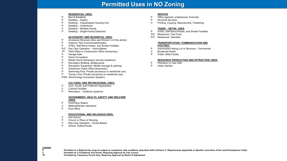# **Permitted Uses in NO Zoning**

# **RESIDENTIAL USES:**

- P Bed & Breakfast
- P Dwelling Duplex
- P Dwelling Industrialized Housing Unit<br>P Dwelling Institutional
- Dwelling Institutional
- C Dwelling Multiple-Family
- P Dwelling Single-Family Detached

# **ACCESSORY AND INCIDENTAL USES:**

- P Accessory Structure (Also see Division 4 of this article)
- P Antenna, Non-Commercial/Amateur
- P ATM's, Self-Serve Kiosks, and Similar Facilities
- P/C Day Care Operation Home-Based
- TP Field Office or Construction Office (temporary)
- P Garage Sale<br>P Home Occup
- Home Occupation
- C Mobile Home (temporary security residence)
- P Recreation Building, Multipurpose<br>P Recreation Equipment, Mobile (std.
- P Recreation Equipment, Mobile (storage & parking)<br>P Subdivision Sales Office (temporary)
- Subdivision Sales Office (temporary)
- P Swimming Pool, Private (accessory to residential use)
- P Tennis Court, Private (accessory to residential use)
- P/SE Wind Energy Conversion Systems

# **CULTURAL AND RECREATIONAL USES:**

- P Civic, Social, and Fraternal Organization
- C Cultural Facilities
- P Recreation Outdoors (passive)

# **GOVERNMENT, HEALTH, SAFETY AND WELFARE**

**USES:**

- P Fire/Police Station
- C Medical/Dental Laboratory
- P Post Office

# **EDUCATIONAL AND RELIGIOUS USES:**

- C Arts School
- P Church or Place of Worship
- C Day-Care Operation Center-Based<br>P School: Public/Private
- School: Public/Private

# **SERVICE**

- P Office (general, professional, financial)
- P Personal Services
- C Printing, Copying, Reproduction, Publishing

# **TRADE – RETAIL USES**

- P ATM's, Self-Serve Kiosks, and Similar Facilities
- P/C Restaurant, Fast Food
- P/C Restaurant, Standard

# **TRANSPORTATION, COMMUNICATION AND UTILITIES:**

- P Automobile Parking Lot or Structure Commercial
- C Broadcast Studio<br>P Public Utility Facili
- Public Utility Facility

# **RESOURCE PRODUCTION AND EXTRACTION USES:**

- P Petroleum or Gas Well<br>P Urban Garden
- Urban Garden

**LEGEND**

P Permitted as a Right-of-Use (may be subject to compliance with conditions described within Division 3- Requirements Applicable to Specific Land Uses of the Land Development Code)<br>C Permitted as a Conditional Use Permit.

**C Permitted as a Conditional Use Permit, Requiring Approval by City Council**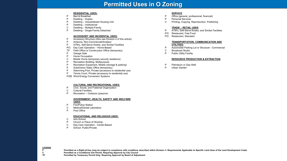# **Permitted Uses in O Zoning**

## **RESIDENTIAL USES:**

- P Bed & Breakfast<br>P Dwelling Duple
- Dwelling Duplex
- P Dwelling Industrialized Housing Unit
- P Dwelling Institutional<br>C Dwelling Multiple-Far
- C Dwelling Multiple-Family<br>P Dwelling Single-Family D
- Dwelling Single-Family Detached

## **ACCESSORY AND INCIDENTAL USES:**

- P Accessory Structure (Also see Division 4 of this article)
- P Antenna, Non-Commercial/Amateur
- P ATM's, Self-Serve Kiosks, and Similar Facilities
- P/C Day Care Operation Home-Based
- TP Field Office or Construction Office (temporary)
- P Garage Sale<br>P Home Occup
- Home Occupation
- C Mobile Home (temporary security residence)
- Recreation Building, Multipurpose
- P Recreation Equipment, Mobile (storage & parking)<br>P Subdivision Sales Office (temporary)
- P Subdivision Sales Office (temporary)
- P Swimming Pool, Private (accessory to residential use)
- Tennis Court, Private (accessory to residential use)
- P/SE Wind Energy Conversion Systems

## **CULTURAL AND RECREATIONAL USES:**

- P Civic, Social, and Fraternal Organization
- **Cultural Facilities**
- P Recreation Outdoors (passive)

#### **GOVERNMENT, HEALTH, SAFETY AND WELFARE USES:**

- P Fire/Police Station
- C Medical/Dental Laboratory
- P Post Office

## **EDUCATIONAL AND RELIGIOUS USES:**

- C Arts School
- P Church or Place of Worship<br>C Day-Care Operation Center
- Day-Care Operation Center-Based
- P School: Public/Private

# **SERVICE**

- P Office (general, professional, financial)<br>P Personal Services
- Personal Services
- C Printing, Copying, Reproduction, Publishing

# **TRADE – RETAIL USES**

- P ATM's, Self-Serve Kiosks, and Similar Facilities
- P/C Restaurant, Fast Food
- P/C Restaurant, Standard

## **TRANSPORTATION, COMMUNICATION AND UTILITIES:**

- P Automobile Parking Lot or Structure Commercial
- C Broadcast Studio
- P Public Utility Facility

## **RESOURCE PRODUCTION & EXTRACTION**

- P Petroleum or Gas Well<br>P Urban Garden
- Urban Garden

**LEGEND**

P Permitted as a Right-of-Use (may be subject to compliance with conditions described within Division 3- Requirements Applicable to Specific Land Uses of the Land Development Code)<br>C Permitted as a Conditional Use Permit.

**C Permitted as a Conditional Use Permit, Requiring Approval by City Council**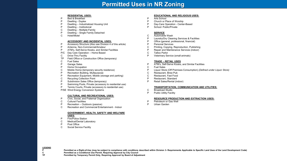# **RESIDENTIAL USES:**

- P Bed & Breakfast
- P Dwelling Duplex
- P Dwelling Industrialized Housing Unit<br>P Dwelling Institutional
- Dwelling Institutional
- C Dwelling Multiple-Family
- P Dwelling Single Family Detached
- C Hotel/Motel

# **ACCESSORY AND INCIDENTAL USES:**

- P Accessory Structure (Also see Division 4 of this article)
- P Antenna, Non-Commercial/Amateur
- P ATM's, Self-Serve Kiosks, and Similar Facilities
- P/C Day Care Operation Home Based
- C Drive-Thru Facility
- TP Field Office or Construction Office (temporary)
- C Fuel Sales
- P Garage Sales
- P Home Occupation<br>C Mobile Home (tem
- Mobile Home (temporary security residence)
- P Recreation Building, Multipurpose
- P Recreation Equipment, Mobile (storage and parking)
- Recycling Collection Point
- P Subdivision Sales Office (temporary)<br>P Swimming Pools, Private (accessory t
- Swimming Pools, Private (accessory to residential use)
- P Tennis Courts, Private (accessory to residential use)
- P/SE Wind Energy Conversion Systems

# **CULTURAL AND RECREATIONAL USES:**

- P Civic, Social, and Fraternal Organization
- C Cultural Facilities
- P Recreation Outdoors (passive)<br>C Recreation and Commercial Ente
- Recreation and Commercial Entertainment Indoor

## **GOVERNMENT, HEALTH, SAFETY AND WELFARE USES:**

- P Fire/Police Station
- C Medical/Dental Laboratory
- P Post Office<br>C Social Servi
- Social Service Facility

# **EDUCATIONAL AND RELIGIOUS USES:**

- P Arts School<br>P Church or P
- P Church or Place of Worship<br>P Day-Care Operation Cente
- P Day-Care Operation Center-Based<br>P School: Public/Private
- School: Public/Private

# **SERVICE**

- C Automobile Wash
- P Laundry/Dry Cleaning Services & Facilities<br>P Office (general, professional, financial)
- Office (general, professional, financial)
- P Personal Services<br>C Printing. Copving.
- Printing, Copying, Reproduction, Publishing
- P Repair and Maintenance Services (indoor)<br>C Tattoo Parlor
- C Tattoo Parlor<br>P Veterinary Se
- Veterinary Service (small animals)

# **TRADE – RETAIL USES**

- P ATM's, Self-Serve Kiosks, and Similar Facilities<br>C Fuel Sales
- C Fuel Sales<br>P Liquor Stor
- P Liquor Store (Off Premises Consumption) *(Defined under Liquor Store)*
- C Restaurant, Brew Pub<br>C Restaurant, Fast Food
- C Restaurant, Fast Food<br>P Restaurant, Standard
- P Restaurant, Standard<br>P Retail Sales/Rental (in
- Retail Sales/Rental (indoor)

# **TRANSPORTATION, COMMUNICATION AND UTILITIES:**

- C Broadcast Studio
- P Public Utility Facility

# **RESOURCE PRODUCTION AND EXTRACTION USES:**

- P Petroleum or Gas Well
- P Urban Garden

**LEGEND**

P Permitted as a Right-of-Use (may be subject to compliance with conditions described within Division 3- Requirements Applicable to Specific Land Uses of the Land Development Code)<br>C Permitted as a Conditional Use Permit. **C Permitted as a Conditional Use Permit, Requiring Approval by City Council**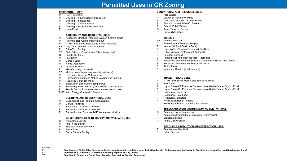# **Permitted Uses in GR Zoning**

# **RESIDENTIAL USES:**<br>P Bed & Breakfast

- Bed & Breakfast
- P Dwelling Industrialized Housing Unit<br>P Dwelling Institutional
- P Dwelling Institutional<br>C Dwelling Multiple-Fan
- C Dwelling Multiple-Family<br>P Dwelling Single Family D
- Dwelling Single Family Detached
- P Hotel/Motel

## **ACCESSORY AND INCIDENTAL USES:**

- P Accessory Structure (Also see Division 4 of this article)
- P Antenna, Non-Commercial/Amateur
- P ATM's, Self-Serve Kiosks, and Similar Facilities
- P/C Day Care Operation Home Based
- P Drive-Thru Facility<br>TP Field Office or Cons
- Field Office or Construction Office (temporary)
- C Freight Container<br>P Fuel Sales
- **Fuel Sales**
- P Garage Sales<br>P Home Occupa
- P Home Occupation<br>TP Itinerant Business
- **Itinerant Business**
- P Manufacturing (incidental)
- TP Mobile Home (temporary security residence)<br>P Recreation Building. Multipurpose
- P Recreation Building, Multipurpose<br>P Recreation Equipment, Mobile (sto
- P Recreation Equipment, Mobile (storage and parking)
- **Recycling Collection Point**
- P Subdivision Sales Office (temporary)
- P Swimming Pools, Private (accessory to residential use)<br>P Tennis Courts, Private (accessory to residential use)
- Tennis Courts, Private (accessory to residential use)
- P/SE Wind Energy Conversion Systems

# **CULTURAL AND RECREATIONAL USES:**

- P Civic, Social, and Fraternal Organization
- P Cultural Facilities<br>C Recreation Outo
- C Recreation Outdoors (active)<br>P Recreation Outdoors (passive
- P Recreation Outdoors (passive)<br>P Recreation and Commercial Enter
- Recreation and Commercial Entertainment Indoor

# **GOVERNMENT, HEALTH, SAFETY AND WELFARE USES:**

- C Ambulance Service<br>P Fire/Police Station
- **Fire/Police Station**
- P Medical/Dental Laboratory<br>P Post Office
- P Post Office<br>C Social Servi
- Social Service Facility

# **EDUCATIONAL AND RELIGIOUS USES:**<br>P Arts School

- P Arts School<br>P Church or P
- Church or Place of Worship
- P Day-Care Operation Center-Based<br>P Fducational and Scientific Research
- **Educational and Scientific Research**
- P School: Public/Private<br>C Trade/Business School
- **Trade/Business School**
- P University/College

# **SERVICE**

- P/C Automobile Wash
- C Funeral Home/ Mortuary/Morgue
- P Kennel (Without Outdoor Pens)<br>P Laundry/Dry Cleaning Services
- P Laundry/Dry Cleaning Services & Facilities<br>P Office (general professional financial)
- Office (general, professional, financial)
- P Personal Services
- C Printing, Copying, Reproduction, Publishing
- Repair and Maintenance Services Automobile/Small Truck (minor)
- P Repair and Maintenance Services (indoor)<br>C Tattoo Parlor
- Tattoo Parlor
- P Veterinary Service (small animals)

# **TRADE – RETAIL USES**

- P ATM's, Self-Serve Kiosks, and Similar Facilities
- **Fuel Sales**
- P Liquor Store (Off Premises Consumption) *(Defined under Liquor Store)*
- P Liquor Store (On Premises Consumption) *(Defined under Liquor Store)*
- P Restaurant, Brew Pub<br>P Restaurant Fast Food
- Restaurant, Fast Food
- P Restaurant, Standard
- P Retail Sales/Rental (indoor)<br>C Retail Sales/Rental (outdoor
- Retail Sales/Rental (outdoors, non-vehicle)

## **TRANSPORTATION, COMMUNICATION AND UTILITIES:**

- C Antenna Tower- Commercial
- P Automobile Parking Lot or Structure Commercial
- P Broadcast Studio<br>P Public Utility Facil
- Public Utility Facility

# **RESOURCE PRODUCTION AND EXTRACTION USES:**

- P Petroleum or Gas Well
- P Urban Garden

P Permitted as a Right-of-Use (may be subject to compliance with conditions described within Division 3- Requirements Applicable to Specific Land Uses of the Land Development Code)<br>C Permitted as a Conditional Use Permit. **C Permitted as a Conditional Use Permit, Requiring Approval by City Council**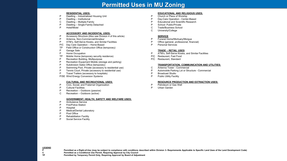# **Permitted Uses in MU Zoning**

#### **RESIDENTIAL USES:**

- P Dwelling Industrialized Housing Unit<br>P Dwelling Institutional
- Dwelling Institutional
- C Dwelling Multiple-Family<br>P Dwelling Single-Family D
- P Dwelling Single-Family Detached<br>P Hotel/Motel
- Hotel/Motel

#### **ACCESSORY AND INCIDENTAL USES:**

- P Accessory Structure (Also see Division 4 of this article)<br>P Antenna Non-Commercial/Amateur
- P Antenna, Non-Commercial/Amateur<br>P ATM's Self-Serve Kiosks and Simila
- ATM's, Self-Serve Kiosks, and Similar Facilities
- P/C Day Care Operation Home-Based
- TP Field Office or Construction Office (temporary)
- P Garage Sale<br>P Home Occup
- Home Occupation
- TP Mobile Home (temporary security residence)
- P Recreation Building, Multipurpose<br>P Recreation Fquipment Mobile (stop
- P Recreation Equipment Mobile (storage and parking)<br>P Subdivision Sales Office (temporary)
- P Subdivision Sales Office (temporary)<br>P Swimming Pool. Private (accessory to
- P Swimming Pool, Private (accessory to residential use)
- P Tennis Court, Private (accessory to residential use)<br>P Travel Trailers (accessory to hospitals)
- Travel Trailers (accessory to hospitals)
- P/SE Wind Energy Conversion Systems

## **CULTURAL AND RECREATIONAL USES:**

- P Civic, Social, and Fraternal Organization
- P Cultural Facilities
- P Recreation Outdoors (passive)<br>C Recreation Outdoors (active)
- Recreation Outdoors (active)

#### **GOVERNMENT, HEALTH, SAFETY AND WELFARE USES:**

- P Ambulance Service<br>P Fire/Police Station
- **Fire/Police Station**
- P Hospital<br>P Medical/
- P Medical/Dental Laboratory<br>P Post Office
- P Post Office<br>P Rehabilitation
- P Rehabilitation Facility<br>P Social Service Facility
- **Social Service Facility**

## **EDUCATIONAL AND RELIGIOUS USES:**

- P Church or Place of Worship
- P Day-Care Operation Center-Based
- P Educational and Scientific Research<br>P School: Public/Private
- School: Public/Private
- C Trade/Business School<br>C University/College
- University/College

# **SERVICE**

- P Funeral Home/Mortuary/Morgue<br>P Office (general professional final
- Office (general, professional, financial)
- P Personal Services

## **TRADE – RETAIL USES**

- P ATM's, Self-Serve Kiosks, and Similar Facilities
- P/C Restaurant, Fast Food<br>P/C Restaurant, Standard
- Restaurant, Standard

## **TRANSPORTATION, COMMUNICATION AND UTILITIES:**

- C Antenna Tower Commercial<br>P Automobile Parking Lot or Stri
- P Automobile Parking Lot or Structure Commercial
- P Broadcast Studio<br>P Public Utility Facil
- Public Utility Facility

## **RESOURCE PRODUCTION AND EXTRACTION USES:**

- P Petroleum or Gas Well<br>P Lithan Garden
- Urban Garden

**LEGEND**

**P** Permitted as a Right-of-Use (may be subject to compliance with conditions described within Division 3- Requirements Applicable to Specific Land Uses of the Land Development Code)<br>C Permitted as a Conditional Use Permit **C Permitted as a Conditional Use Permit, Requiring Approval by City Council**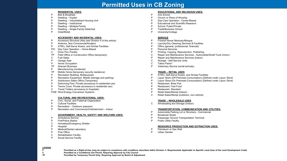# **Permitted Uses in CB Zoning**

# **RESIDENTIAL USES:**

- P Bed & Breakfast<br>P Dwelling Duple
- Dwelling Duplex
- P Dwelling Industrialized Housing Unit
- P Dwelling Institutional<br>P Dwelling Multiple-Fan
- P Dwelling Multiple-Family<br>P Dwelling Single-Family D
- P Dwelling Single-Family Detached<br>P Hotel/Motel
- Hotel/Motel

# **ACCESSORY AND INCIDENTAL USES:**

- P Accessory Structure (Also see Division 4 of this article)<br>P Antenna Non-Commercial/Amateur
- P Antenna, Non-Commercial/Amateur<br>P ATM's Self-Serve Kiosks and Simil.
- ATM's, Self-Serve Kiosks, and Similar Facilities
- P/C Day Care Operation Home-Based
- C Drive-Thru Facility
- TP Field Office or Construction Office (temporary)
- C Fuel Sales<br>P Garage Sal
- **Garage Sale**
- P Home Occupation
- TP Itinerant Business
- P Manufacturing (incidental)<br>TP Mobile Home (temporary s
- Mobile Home (temporary security residence)
- P Recreation Building, Multipurpose<br>P Recreation Equipment. Mobile (std
- P Recreation Equipment, Mobile (storage and parking)<br>P Subdivision Sales Office (Temporary)
- P Subdivision Sales Office (Temporary)<br>P Swimming Pool. Private (accessory to
- P Swimming Pool, Private (accessory to residential use)
- Tennis Court, Private (accessory to residential use)
- C Travel Trailers (accessory to hospitals)
- P/SE Wind Energy Conversion Systems

# **CULTURAL AND RECREATIONAL USES:**

- P Civic, Social, and Fraternal Organization<br>P Cultural Facilities
- **Cultural Facilities**
- P Recreation Outdoors (passive)
- P Recreation and Commercial Entertainment Indoor

# **GOVERNMENT, HEALTH, SAFETY AND WELFARE USES:**

- P Ambulance Service<br>P Fire/Police Station
- **Fire/Police Station**
- C Homeless/Emergency Shelter
- P Hospital<br>P Medical/
- P Medical/Dental Laboratory<br>P Post Office
- P Post Office<br>C Rehabilitation
- **Rehabilitation Facility**
- P Social Service Facility

# **EDUCATIONAL AND RELIGIOUS USES:**

- P Arts School<br>P Church or P
- Church or Place of Worship
- P Day-Care Operation Center-Based
- P Educational and Scientific Research<br>P School: Public/Private
- P School: Public/Private<br>P Trade/Business Schoo
- **Trade/Business School**
- P University/College

# **SERVICE**

- P Funeral Home/ Mortuary/Morgue
- P Laundry/Dry Cleaning Services & Facilities<br>P Office (general professional financial)
- P Office (general, professional, financial)
- P Personal Services<br>P Printing Conving
- P Printing, Copying, Reproduction, Publishing<br>C Repair and Maintenance Services Automob
- Repair and Maintenance Services Automobile/Small Truck (minor)
- P Repair and Maintenance Services (indoor)<br>C Storage Self-Service Units
- C Storage Self-Service Units<br>C Tattoo Parlor\*
- C Tattoo Parlor\*<br>P Veterinary Set
- Veterinary Service (small animals)

# **TRADE – RETAIL USES**

- P ATM's, Self-Serve Kiosks, and Similar Facilities<br>P Liquor Store (Off Premises Consumption) (Defin
- P Liquor Store (Off Premises Consumption) *(Defined under Liquor Store)*
- P Liquor Store (On Premises Consumption) *(Defined under Liquor Store)*
- P Restaurant, Brew Pub<br>P Restaurant, Fast Food
- P Restaurant, Fast Food<br>P Restaurant Standard
- P Restaurant, Standard<br>P Retail Sales/Rental (in
- P Retail Sales/Rental (indoor)<br>C Retail Sales/Rental (outdoor
- Retail Sales/Rental (outdoors, non-vehicle)

# **TRADE – WHOLESALE USES**

C Wholesaling and Storage (indoor)

# **TRANSPORTATION, COMMUNICATION AND UTILITIES:**

- P Automobile Parking Lot or Structure Commercial<br>P Broadcast Studio
- **Broadcast Studio**
- P Passenger Ground Transportation Terminal<br>P Public Utility Facility
- Public Utility Facility

# **RESOURCE PRODUCTION AND EXTRACTION USES:**

- P Petroleum or Gas Well<br>P Lithan Garden
- Urban Garden

# **LEGEND**

**P** Permitted as a Right-of-Use (may be subject to compliance with conditions described within Division 3- Requirements Applicable to Specific Land Uses of the Land Development Code)<br>C. Permitted as a Conditional Use Permi **C Permitted as a Conditional Use Permit, Requiring Approval by City Council**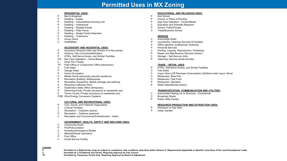# **Permitted Uses in MX Zoning**

#### **RESIDENTIAL USES:**

- P Bed & Breakfast<br>P Dwelling Duple:
- Dwelling Duplex
- P Dwelling Industrialized Housing Unit
- P Dwelling Institutional<br>C Dwelling Multiple-Far
- C Dwelling Multiple-Family<br>C Dwelling Patio Home
- C Dwelling Patio Home<br>P Dwelling Single Famil
- P Dwelling Single Family Detached<br>C Dwelling Townhome
- C Dwelling Townhome<br>C Group Home
- C Group Home<br>C Hotel/Motel
- Hotel/Motel

#### **ACCESSORY AND INCIDENTAL USES:**

- P Accessory Structure (Also see Division 4 of this article)
- Antenna, Non-Commercial/Amateur
- P ATM's, Self-Serve Kiosks, and Similar Facilities
- P/C Day Care Operation Home Based
- C Drive-Thru Facility
- TP Field Office or Construction Office (temporary)
- C Fuel Sales<br>P Garage Sa
- P Garage Sales<br>P Home Occupa
- Home Occupation
- C Mobile Home (temporary security residence)
- P Recreation Building, Multipurpose<br>P Recreation Equipment, Mobile (std
- P Recreation Equipment, Mobile (storage and parking)
- Recycling Collection Point
- P Subdivision Sales Office (temporary)
- P Swimming Pools, Private (accessory to residential use)<br>P Tennis Courts. Private (accessory to residential use)
- Tennis Courts, Private (accessory to residential use)
- P/SE Wind Energy Conversion Systems

## **CULTURAL AND RECREATIONAL USES:**

- P Civic, Social, and Fraternal Organization
- C Cultural Facilities<br>C Recreation Outo
- Recreation Outdoors (active)
- P Recreation Outdoors (passive)
- C Recreation and Commercial Entertainment Indoor

## **GOVERNMENT, HEALTH, SAFETY AND WELFARE USES:**

- C Community Home
- P Fire/Police Station
- C Homeless/Emergency Shelter<br>C Medical/Dental Laboratory
- C Medical/Dental Laboratory<br>P Post Office
- P Post Office<br>C Social Servi
- Social Service Facility

# **LEGEND**

P Permitted as a Right-of-Use (may be subject to compliance with conditions described within Division 3- Requirements Applicable to Specific Land Uses of the Land Development Code)<br>C Permitted as a Conditional Use Permit. **C Permitted as a Conditional Use Permit, Requiring Approval by City Council**

**TP Permitted by Temporary Permit Only, Requiring Approval by Board of Adjustment**

## **EDUCATIONAL AND RELIGIOUS USES:**

- P Arts School
- P Church or Place of Worship
- P Day-Care Operation Center-Based<br>C Education and Scientific Research
- C Education and Scientific Research<br>P School: Public/Private
- School: Public/Private
- C Trade/Business School

# **SERVICE**

- C Automobile Wash<br>P Laundry/Dry Clear
- Laundry/Dry Cleaning Services & Facilities
- P Office (general, professional, financial)
- P Personal Services<br>C Printing, Copying,
- C Printing, Copying, Reproduction, Publishing<br>P Repair and Maintenance Services (indoor)
- Repair and Maintenance Services (indoor)
- C Storage Self-Service Units<br>P Veterinary Service (small anii
- Veterinary Service (small animals)

## **TRADE – RETAIL USES**

- P ATM's, Self-Serve Kiosks, and Similar Facilities<br>C Fuel Sales
- **Fuel Sales**
- C Liquor Store (Off Premises Consumption) *(Defined under Liquor Store)*
- C Restaurant, Brew Pub<br>C Restaurant, Fast Food
- C Restaurant, Fast Food<br>P Restaurant, Standard
- P Restaurant, Standard<br>P Retail Sales/Rental (in
- Retail Sales/Rental (indoor)

#### **TRANSPORTATION, COMMUNICATION AND UTILITIES:**

- C Automobile Parking Lot or Structure Commercial
- **Broadcast Studio**
- P Public Utility Facility

# **RESOURCE PRODUCTION AND EXTRACTION USES:**

- P Petroleum or Gas Well<br>P Lithan Garden
- Urban Garden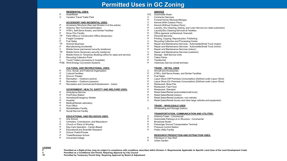# **Permitted Uses in GC Zoning**

# **RESIDENTIAL USES:**

- P Hotel/Motel<br>C Vacation Tr
- Vacation Travel Trailer Park

#### **ACCESSORY AND INCIDENTAL USES:**

- P Accessory Structure (Also see Division 4 of this article)<br>P Antenna Non-Commercial/Amateur
- P Antenna, Non-Commercial/Amateur<br>P ATM's Self-Serve Kiosks and Simil-
- P ATM's, Self-Serve Kiosks, and Similar Facilities
- P Drive-Thru Facility<br>TP Field Office or Con
- TP Field Office or Construction Office (temporary)
- C Freight Container<br>P Fuel Sales
- P Fuel Sales<br>TP Itinerant Bu
- TP Itinerant Business<br>P Manufacturing (inc
- Manufacturing (incidental)
- C Mobile Home (permanent security residence)<br>TP Mobile Home (temporary security residence)
- Mobile Home (temporary security residence)
- C Mobile Home or Temporary Building (office for sales and service)
- **Recycling Collection Point**
- C Travel Trailers (accessory to hospitals)
- P/SE Wind Energy Conversion Systems

#### **CULTURAL AND RECREATIONAL USES:**

- P Civic, Social, and Fraternal Organization<br>P Cultural Facilities
- P Cultural Facilities<br>P Drive-in Theater
- P Drive-in Theater<br>P Recreation Out
- P Recreation Outdoors (active)<br>P Recreation Outdoors (passive
- P Recreation Outdoors (passive)<br>P Recreation and Commercial Enter
- P Recreation and Commercial Entertainment Indoor

#### **GOVERNMENT, HEALTH, SAFETY AND WELFARE USES:**

- P Ambulance Service<br>P Fire/Police Station
- P Fire/Police Station<br>C. Homeless/Fmerger
- C Homeless/Emergency Shelter<br>P Hospital
- P Hospital<br>P Medical/
- P Medical/Dental Laboratory<br>P Post Office
- P Post Office<br>C. Rehabilitation
- C Rehabilitation Facility<br>P Social Service Facility
- **Social Service Facility**

#### **EDUCATIONAL AND RELIGIOUS USES:**

- P Arts School
- Cemetery, Crematorium, and Mausoleum
- P Church or Place of Worship<br>P Day-Care Operation Cente
- P Day-Care Operation Center-Based<br>P Fducational and Scientific Research
- P Educational and Scientific Research<br>P School: Public/Private
- P School: Public/Private<br>P Trade/Business School
- P Trade/Business School<br>P University/College
- University/College

# **SERVICE**

- P/C Automobile Wash
- C Contractor Services<br>P Funeral Home/ Mort
- P Funeral Home/ Mortuary/Morgue<br>C. Kennel (With Outdoor Pens)
- C Kennel (With Outdoor Pens)<br>P Kennel (Without Outdoor Per
- P Kennel (Without Outdoor Pens)<br>P Laundry Dry Cleaning Dyeing
- P Laundry, Dry Cleaning, Dyeing, and Linen Service (no retail customers)<br>P Laundry/Dry Cleaning Services & Facilities
- P Laundry/Dry Cleaning Services & Facilities<br>P Office (general professional financial)
- P Office (general, professional, financial)<br>P Personal Services
- P Personal Services<br>P Printing Conving
- P Printing, Copying, Reproduction, Publishing<br>C. Recycling Collection and Processing Center
- Recycling Collection and Processing Center
- P Repair and Maintenance Services Automobile/Small Truck (major)
- P Repair and Maintenance Services Automobile/Small Truck (minor)<br>P Repair and Maintenance Services (indoor)
- P Repair and Maintenance Services (indoor)<br>C. Repair and Maintenance Services (outdoor
- C Repair and Maintenance Services (outdoors)<br>P Storage Self-Service Units
- P Storage Self-Service Units<br>P Tattoo Parlor
- P Tattoo Parlor<br>P Taxidermist
- P Taxidermist<br>P Veterinary S
- Veterinary Service (small animals)

## **TRADE – RETAIL USES**

- C Aircraft and Accessories<br>P ATM's Self-Serve Kiosks
- P ATM's, Self-Serve Kiosks, and Similar Facilities<br>P Fuel Sales
- P Fuel Sales<br>P Liquor Stor
- P Liquor Store (Off Premises Consumption) *(Defined under Liquor Store)*
- P Liquor Store (On Premises Consumption) *(Defined under Liquor Store)*
- P Restaurant, Brew Pub<br>P Restaurant Fast Food
- P Restaurant, Fast Food<br>P Restaurant Standard
- Restaurant, Standard
- P Retail Sales/Rental (automobile/small truck)<br>P Retail Sales/Rental (indoor)
- P Retail Sales/Rental (indoor)<br>P Retail Sales/Rental (outdoor
- P Retail Sales/Rental (outdoors, non-vehicle)
- Retail Sales/Rental (trucks and other large vehicles and equipment)

#### **TRADE – WHOLESALE USES**

C Wholesaling and Storage (indoor)

#### **TRANSPORTATION, COMMUNICATION AND UTILITIES:**

- C Antenna Tower Commercial<br>P Automobile Parking Lot or Stru
- P Automobile Parking Lot or Structure Commercial
- **Broadcast Studio**
- **P** Passenger Ground Transportation Terminal<br>P Pressure Control Station
- P Pressure Control Station<br>P Public Utility Facility
- **Public Utility Facility**

#### **RESOURCE PRODUCTION AND EXTRACTION USES:**

- P Petroleum or Gas Well<br>P Urban Garden
- Urban Garden

**LEGEND**

P Permitted as a Right-of-Use (may be subject to compliance with conditions described within Division 3- Requirements Applicable to Specific Land Uses of the Land Development Code)<br>C Permitted as a Conditional Use Permit. **C Permitted as a Conditional Use Permit, Requiring Approval by City Council**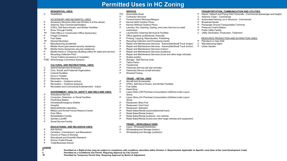# **Permitted Uses in HC Zoning**

# **RESIDENTIAL USES:**

C Hotel/Motel

# ACCESSORY AND INCIDENTAL USES:

- P Accessory Structure (Also see Division 4 of this article)
- P Antenna, Non-Commercial/Amateur<br>P ATM's Self-Serve Kiosks and Simil
- P ATM's, Self-Serve Kiosks, and Similar Facilities<br>P Drive-Through Facility
- P Drive-Through Facility<br>TP Field Office or Constru
- TP Field Office or Construction Office (temporary)
- P Freight Container<br>P Fuel Sales
- P Fuel Sales<br>TP Itinerant Bu
- TP Itinerant Business<br>P Manufacturing (inc
- P Manufacturing (incidental)<br>C Mobile Home (permanent s
- 
- C Mobile Home (permanent security residence) TP Mobile Home (temporary security residence)
- P Mobile Home or Temporary Building (office for sales and service)
- P Recycling Collection Point<br>C Travel Trailers (accessory
- Travel Trailers (accessory to hospitals)
- P/SE Wind Energy Conversion Systems

#### **CULTURAL AND RECREATIONAL USES:**

- C Adult Entertainment Enterprise<br>P Civic Social and Fraternal Org
- P Civic, Social, and Fraternal Organization<br>P Cultural Facilities
- P Cultural Facilities<br>P Drive-in Theater
- P Drive-in Theater<br>C Motorized Racine
- C Motorized Racing<br>P Recreation Outo
- P Recreation Outdoors (active)<br>P Recreation Outdoors (passive
- P Recreation Outdoors (passive)<br>P Recreation and Commercial Enter
- Recreation and Commercial Entertainment Indoor

#### **GOVERNMENT, HEALTH, SAFETY AND WELFARE USES:**

**C Permitted as a Conditional Use Permit, Requiring Approval by City Council**

**TP Permitted by Temporary Permit Only, Requiring Approval by Board of Adjustment**

- P Ambulance Service<br>C Correction. Detentic
- C Correction, Detention, or Penal Facilities<br>P Fire/Police Station
- P Fire/Police Station<br>P Homeless/Emerge
- P Homeless/Emergency Shelter<br>P Hospital
- P Hospital<br>P Medical/
- P Medical/Dental Laboratory<br>P Military and Armed Forces
- P Military and Armed Forces Reserve Center<br>P Post Office
- P Post Office<br>P Rehabilitation
- 
- P Rehabilitation Facility<br>C Sanitary Landfill
- C Sanitary Landfill<br>P Social Service Fa Social Service Facility

## **EDUCATIONAL AND RELIGIOUS USES:**

- 
- P Arts School<br>C Cemetery. C C Cemetery, Crematorium, and Mausoleum<br>P Church or Place of Worship
- P Church or Place of Worship<br>P Fducational and Scientific Re
- P Educational and Scientific Research<br>P School: Public/Private
- P School: Public/Private<br>P Trade/Business School
- **Trade/Business School**

# **LEGEND**

- **SERVICE**
- P/C Automobile Wash<br>P Contractor Service
- P Contractor Services<br>P Funeral Home/ Mort
- P Funeral Home/ Mortuary/Morgue<br>P Kennel (With Outdoor Pens)
- P Kennel (With Outdoor Pens)<br>P Kennel (Without Outdoor Per
- P Kennel (Without Outdoor Pens)<br>P Laundry Dry Cleaning Dyeing
- Laundry, Dry Cleaning, Dyeing, and Linen Service (no retail customers)
- P Laundry/Dry Cleaning Services & Facilities<br>P Office (general professional financial)
- P Office (general, professional, financial)
- P Printing, Copying, Reproduction, Publishing
- P Recycling Collection and Processing Center<br>P Repair and Maintenance Services Automo
- P Repair and Maintenance Services Automobile/Small Truck (major)<br>P Repair and Maintenance Services Automobile/Small Truck (minor)
- P Repair and Maintenance Services Automobile/Small Truck (minor)<br>P Repair and Maintenance Services (indoor)
- Repair and Maintenance Services (indoor)
- Repair and Maintenance Services (outdoors)
- P Repair and Maintenance Services (truck and other large vehicles)<br>P Scales (public)
- P Scales (public)<br>P Storage Self-
- P Storage Self-Service Units<br>P Tattoo Parlor
- P Tattoo Parlor<br>P Taxidermist
- P Taxidermist
- P Veterinary Service (all size animals)
- P Veterinary Service (small animals)<br>P Wrecker/Towing
- Wrecker/Towing

## **TRADE – RETAIL USES**

- P Aircraft and Accessories<br>P ATM's Self-Serve Kiosks
- P ATM's, Self-Serve Kiosks, and Similar Facilities
- P Fuel Sales<br>P Head Shon
- P Head Shop<br>P Liquor Store
	- P Liquor Store (Off Premises Consumption) *(Defined under Liquor Store)*
- P Liquor Store (On Premises Consumption) *(Defined under Liquor Store)*
- 
- P Restaurant, Brew Pub<br>P Restaurant Fast Food
- P Restaurant, Fast Food<br>P Restaurant Standard
- P Restaurant, Standard<br>P Retail Sales/Rental (a P Retail Sales/Rental (automobile/small truck)
- P Retail Sales/Rental (indoor)<br>P Retail Sales/Rental (outdoor
- P Retail Sales/Rental (outdoors, non-vehicle)
- Retail Sales/Rental (trucks and other large vehicles and equipment)

#### **TRADE – WHOLESALE USES**

- P Liquor, Wholesale/Distribution<br>P Wholesaling and Storage (indo
- P Wholesaling and Storage (indoor)<br>C Wholesaling and Storage (outdoor
- Wholesaling and Storage (outdoors)

**P** Permitted as a Right-of-Use (may be subject to compliance with conditions described within Division 3- Requirements Applicable to Specific Land Uses of the Land Development Code)<br>Permitted as a Conditional Use Permit R

- **TRANSPORTATION, COMMUNICATION AND UTILITIES:**
- P Airport, Heliport and Flying Field Terminals Commercial (passenger and freight)
- Antenna Tower Commercial
- P Automobile Parking Lot or Structure Commercial<br>P Broadcast Studio
- **Broadcast Studio**
- P Passenger Ground Transportation Terminal<br>P Pressure Control Station
- Pressure Control Station
- 
- P Public Utility Facility<br>C Utility Generation, P **Utility Generation, Production, Treatment**

#### RESOURCE PRODUCTION AND EXTRACTION USES:

P Petroleum or Gas Well<br>C Manufacturing (light) Manufacturing (light)

P Urban Garden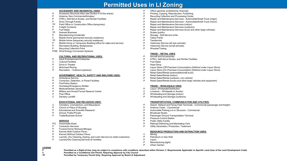# **Permitted Uses in LI Zoning**

#### **ACCESSORY AND INCIDENTAL USES:**

- P Accessory Structure (Also see Division 4 of this article)<br>P Antenna Non-Commercial/Amateur
- P Antenna, Non-Commercial/Amateur
- P ATM's, Self-Serve Kiosks, and Similar Facilities
- Drive-Through Facility
- TP Field Office or Construction Office (temporary)
- P Freight Container<br>P Fuel Sales
- P Fuel Sales<br>TP Itinerant Bu
- **Itinerant Business**
- P Manufacturing (incidental)
- C Mobile Home (permanent security residence)
- TP Mobile Home (temporary security residence)
- P Mobile Home or Temporary Building (office for sales and service)
- P Recreation Building, Multipurpose<br>P Recycling Collection Point
- **Recycling Collection Point**
- P/SE Wind Energy Conversion Systems

#### **CULTURAL AND RECREATIONAL USES:**

- P Adult Entertainment Enterprise<br>C Cultural Facilities
- C Cultural Facilities<br>P Drive-in Theater
- P Drive-in Theater<br>C Motorized Racino
- **Motorized Racing**
- P Recreation Outdoors (passive)

#### **GOVERNMENT, HEALTH, SAFETY AND WELFARE USES:**

- P Ambulance Service<br>P Correction Detention
- Correction, Detention, or Penal Facilities
- P Fire/Police Station<br>P Homeless/Emerge
- P Homeless/Emergency Shelter<br>P Medical/Dental Laboratory
- P Medical/Dental Laboratory<br>P Military and Armed Forces
- P Military and Armed Forces Reserve Center<br>P Post Office
- P Post Office<br>C Sanitary Lar
- Sanitary Landfill

## **EDUCATIONAL AND RELIGIOUS USES:**

- C Cemetery, Crematorium, and Mausoleum
- P Church or Place of Worship<br>P Educational and Scientific Re
- P Educational and Scientific Research<br>P School: Public/Private
- P School: Public/Private<br>P Trade/Business School
- Trade/Business School

# **SERVICE**

- P/C Automobile Wash
- P Contractor Services<br>P Funeral Home/ Morti
- P Funeral Home/ Mortuary/Morgue<br>P Kennel (With Outdoor Pens)
- P Kennel (With Outdoor Pens)<br>P Kennel (Without Outdoor Per
- P Kennel (Without Outdoor Pens)<br>P Laundry, Dry Cleaning, Dveing,
- P Laundry, Dry Cleaning, Dyeing, and Linen Service (no retail customers)<br>P Laundry/Dry Cleaning Services & Facilities
- Laundry/Dry Cleaning Services & Facilities
- P Office (general, professional, financial)
- P Printing, Copying, Reproduction, Publishing
- P Recycling Collection and Processing Center<br>P Repair and Maintenance Services Automo
- P Repair and Maintenance Services Automobile/Small Truck (major)
- P Repair and Maintenance Services Automobile/Small Truck (minor)<br>P Repair and Maintenance Services (indoor)
- P Repair and Maintenance Services (indoor)
- P Repair and Maintenance Services (outdoors)<br>P Repair and Maintenance Services (truck and
- P Repair and Maintenance Services (truck and other large vehicles)<br>P Scales (public)
- P Scales (public)<br>P Storage Self-3
- P Storage Self-Service Units<br>P Tattoo Parlor
- P Tattoo Parlor<br>P Taxidermist
- P Taxidermist<br>P Veterinary S
- P Veterinary Service (all size animals)
- P Veterinary Service (small animals)<br>P Wrecker/Towing
- Wrecker/Towing

# **TRADE – RETAIL USES**

- P Aircraft and Accessories<br>P ATM's. Self-Serve Kiosks
- P ATM's, Self-Serve Kiosks, and Similar Facilities
- P Fuel Sales<br>P Head Shor
- P Head Shop<br>P Liquor Store
- P Liquor Store (Off Premises Consumption) *(Defined under Liquor Store)*
- P Liquor Store (On Premises Consumption) *(Defined under Liquor Store)*
- P Retail Sales/Rental (automobile/small truck)<br>P Retail Sales/Rental (indoor)
- P Retail Sales/Rental (indoor)<br>P Retail Sales/Rental (outdoor
- P Retail Sales/Rental (outdoors, non-vehicle)
- Retail Sales/Rental (trucks and other large vehicles and equipment)

# **TRADE – WHOLESALE USES**

- P Liquor, Wholesale/Distribution<br>C Livestock Wholesale or Aucti
- C Livestock Wholesale or Auction<br>P Wholesaling and Storage (indoor)
- P Wholesaling and Storage (indoor)<br>P Wholesaling and Storage (outdoor
- Wholesaling and Storage (outdoors)

## **TRANSPORTATION, COMMUNICATION AND UTILITIES:**

- P Airport, Heliport and Flying Field Terminals Commercial (passenger and freight)
- P Antenna Tower Commercial<br>P Automobile Parking Lot or Stru
- P Automobile Parking Lot or Structure Commercial
- P Broadcast Studio<br>P Passenger Groun
- P Passenger Ground Transportation Terminal<br>P Pressure Control Station
- P Pressure Control Station<br>P Public Utility Facility
- P Public Utility Facility<br>P Railroad Switching a
- P Railroad Switching and Marshaling Yard
- Utility Generation, Production, Treatment

# **RESOURCE PRODUCTION AND EXTRACTION USES:**

- C Mining<br>P Petrole
- P Petroleum or Gas Well<br>P Liquor
- P Liquor<br>P Manufa
- P Manufacturing (light)<br>P Urban Garden Urban Garden
- 

**LEGEND P** Permitted as a Right-of-Use (may be subject to compliance with conditions described within Division 3- Requirements Applicable to Specific Land Uses of the Land Development Code)<br>Permitted as a Conditional Use Permit R **C Permitted as a Conditional Use Permit, Requiring Approval by City Council**